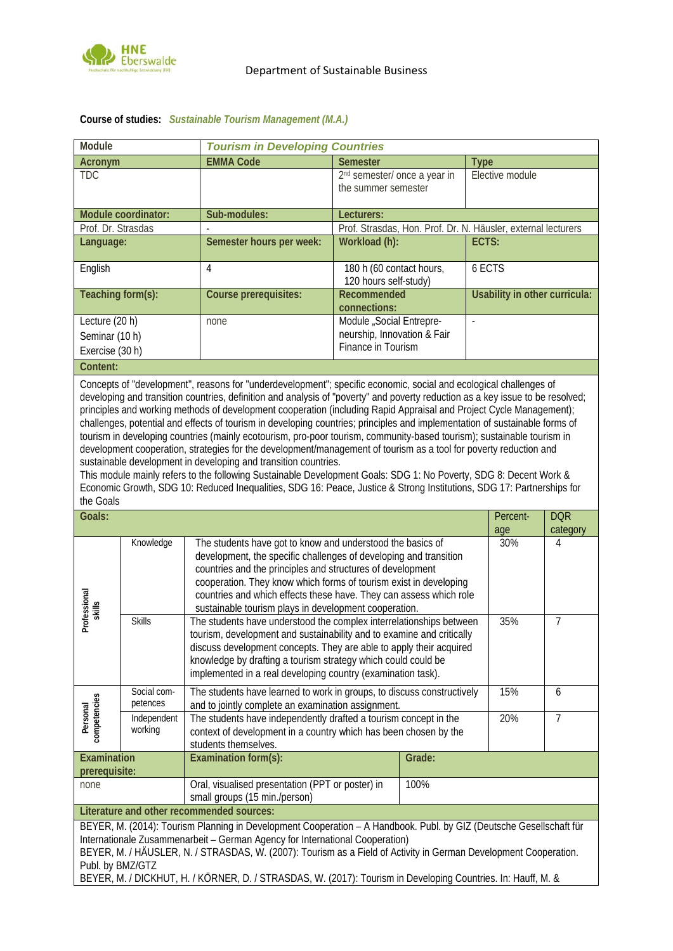

| Module                                                                                                                                                                                                                                                                                                                                                                                                                                                                                                                                                                                                                                                                                                                                                                                                                                                                                                                                                                                                                                                                                 |                         |                                                                                                                                                                                                                                                                                                                                                                                                   | <b>Tourism in Developing Countries</b>                                 |                                                               |                 |                               |                |  |
|----------------------------------------------------------------------------------------------------------------------------------------------------------------------------------------------------------------------------------------------------------------------------------------------------------------------------------------------------------------------------------------------------------------------------------------------------------------------------------------------------------------------------------------------------------------------------------------------------------------------------------------------------------------------------------------------------------------------------------------------------------------------------------------------------------------------------------------------------------------------------------------------------------------------------------------------------------------------------------------------------------------------------------------------------------------------------------------|-------------------------|---------------------------------------------------------------------------------------------------------------------------------------------------------------------------------------------------------------------------------------------------------------------------------------------------------------------------------------------------------------------------------------------------|------------------------------------------------------------------------|---------------------------------------------------------------|-----------------|-------------------------------|----------------|--|
| Acronym                                                                                                                                                                                                                                                                                                                                                                                                                                                                                                                                                                                                                                                                                                                                                                                                                                                                                                                                                                                                                                                                                |                         | <b>EMMA Code</b>                                                                                                                                                                                                                                                                                                                                                                                  | <b>Semester</b>                                                        |                                                               | <b>Type</b>     |                               |                |  |
| <b>TDC</b>                                                                                                                                                                                                                                                                                                                                                                                                                                                                                                                                                                                                                                                                                                                                                                                                                                                                                                                                                                                                                                                                             |                         |                                                                                                                                                                                                                                                                                                                                                                                                   | 2 <sup>nd</sup> semester/ once a year in<br>the summer semester        |                                                               | Elective module |                               |                |  |
| Module coordinator:                                                                                                                                                                                                                                                                                                                                                                                                                                                                                                                                                                                                                                                                                                                                                                                                                                                                                                                                                                                                                                                                    |                         | Sub-modules:                                                                                                                                                                                                                                                                                                                                                                                      | Lecturers:                                                             |                                                               |                 |                               |                |  |
| Prof. Dr. Strasdas                                                                                                                                                                                                                                                                                                                                                                                                                                                                                                                                                                                                                                                                                                                                                                                                                                                                                                                                                                                                                                                                     |                         |                                                                                                                                                                                                                                                                                                                                                                                                   |                                                                        | Prof. Strasdas, Hon. Prof. Dr. N. Häusler, external lecturers |                 |                               |                |  |
| Language:                                                                                                                                                                                                                                                                                                                                                                                                                                                                                                                                                                                                                                                                                                                                                                                                                                                                                                                                                                                                                                                                              |                         | Semester hours per week:                                                                                                                                                                                                                                                                                                                                                                          | Workload (h):                                                          |                                                               |                 | ECTS:                         |                |  |
| English                                                                                                                                                                                                                                                                                                                                                                                                                                                                                                                                                                                                                                                                                                                                                                                                                                                                                                                                                                                                                                                                                |                         | 4                                                                                                                                                                                                                                                                                                                                                                                                 | 180 h (60 contact hours,<br>120 hours self-study)                      | 6 ECTS                                                        |                 |                               |                |  |
| Teaching form(s):                                                                                                                                                                                                                                                                                                                                                                                                                                                                                                                                                                                                                                                                                                                                                                                                                                                                                                                                                                                                                                                                      |                         | Course prerequisites:                                                                                                                                                                                                                                                                                                                                                                             | Recommended<br>connections:                                            |                                                               |                 | Usability in other curricula: |                |  |
| Lecture (20 h)                                                                                                                                                                                                                                                                                                                                                                                                                                                                                                                                                                                                                                                                                                                                                                                                                                                                                                                                                                                                                                                                         |                         | none                                                                                                                                                                                                                                                                                                                                                                                              | Module "Social Entrepre-                                               |                                                               | $\mathbb{L}$    |                               |                |  |
| Seminar (10 h)                                                                                                                                                                                                                                                                                                                                                                                                                                                                                                                                                                                                                                                                                                                                                                                                                                                                                                                                                                                                                                                                         |                         |                                                                                                                                                                                                                                                                                                                                                                                                   | neurship, Innovation & Fair                                            |                                                               |                 |                               |                |  |
| Exercise (30 h)                                                                                                                                                                                                                                                                                                                                                                                                                                                                                                                                                                                                                                                                                                                                                                                                                                                                                                                                                                                                                                                                        |                         |                                                                                                                                                                                                                                                                                                                                                                                                   | Finance in Tourism                                                     |                                                               |                 |                               |                |  |
| Content:                                                                                                                                                                                                                                                                                                                                                                                                                                                                                                                                                                                                                                                                                                                                                                                                                                                                                                                                                                                                                                                                               |                         |                                                                                                                                                                                                                                                                                                                                                                                                   |                                                                        |                                                               |                 |                               |                |  |
| Concepts of "development", reasons for "underdevelopment"; specific economic, social and ecological challenges of<br>developing and transition countries, definition and analysis of "poverty" and poverty reduction as a key issue to be resolved;<br>principles and working methods of development cooperation (including Rapid Appraisal and Project Cycle Management);<br>challenges, potential and effects of tourism in developing countries; principles and implementation of sustainable forms of<br>tourism in developing countries (mainly ecotourism, pro-poor tourism, community-based tourism); sustainable tourism in<br>development cooperation, strategies for the development/management of tourism as a tool for poverty reduction and<br>sustainable development in developing and transition countries.<br>This module mainly refers to the following Sustainable Development Goals: SDG 1: No Poverty, SDG 8: Decent Work &<br>Economic Growth, SDG 10: Reduced Inequalities, SDG 16: Peace, Justice & Strong Institutions, SDG 17: Partnerships for<br>the Goals |                         |                                                                                                                                                                                                                                                                                                                                                                                                   |                                                                        |                                                               |                 |                               |                |  |
| Goals:                                                                                                                                                                                                                                                                                                                                                                                                                                                                                                                                                                                                                                                                                                                                                                                                                                                                                                                                                                                                                                                                                 |                         |                                                                                                                                                                                                                                                                                                                                                                                                   |                                                                        |                                                               |                 | Percent-                      | <b>DQR</b>     |  |
|                                                                                                                                                                                                                                                                                                                                                                                                                                                                                                                                                                                                                                                                                                                                                                                                                                                                                                                                                                                                                                                                                        |                         |                                                                                                                                                                                                                                                                                                                                                                                                   |                                                                        |                                                               |                 | age<br>30%                    | category       |  |
| Professional<br>skills                                                                                                                                                                                                                                                                                                                                                                                                                                                                                                                                                                                                                                                                                                                                                                                                                                                                                                                                                                                                                                                                 | Knowledge               | The students have got to know and understood the basics of<br>development, the specific challenges of developing and transition<br>countries and the principles and structures of development<br>cooperation. They know which forms of tourism exist in developing<br>countries and which effects these have. They can assess which role<br>sustainable tourism plays in development cooperation. |                                                                        |                                                               |                 |                               | 4              |  |
|                                                                                                                                                                                                                                                                                                                                                                                                                                                                                                                                                                                                                                                                                                                                                                                                                                                                                                                                                                                                                                                                                        | <b>Skills</b>           | The students have understood the complex interrelationships between<br>tourism, development and sustainability and to examine and critically<br>discuss development concepts. They are able to apply their acquired<br>knowledge by drafting a tourism strategy which could could be<br>implemented in a real developing country (examination task).                                              |                                                                        |                                                               |                 | 35%                           | $\overline{7}$ |  |
| Personal<br>competencies                                                                                                                                                                                                                                                                                                                                                                                                                                                                                                                                                                                                                                                                                                                                                                                                                                                                                                                                                                                                                                                               | Social com-<br>petences | and to jointly complete an examination assignment.                                                                                                                                                                                                                                                                                                                                                | The students have learned to work in groups, to discuss constructively |                                                               |                 | 15%                           | 6              |  |
|                                                                                                                                                                                                                                                                                                                                                                                                                                                                                                                                                                                                                                                                                                                                                                                                                                                                                                                                                                                                                                                                                        | Independent<br>working  | The students have independently drafted a tourism concept in the<br>context of development in a country which has been chosen by the<br>students themselves.                                                                                                                                                                                                                                      |                                                                        |                                                               | 20%             | $\overline{7}$                |                |  |
| Examination<br>prerequisite:                                                                                                                                                                                                                                                                                                                                                                                                                                                                                                                                                                                                                                                                                                                                                                                                                                                                                                                                                                                                                                                           |                         | <b>Examination form(s):</b>                                                                                                                                                                                                                                                                                                                                                                       | Grade:                                                                 |                                                               |                 |                               |                |  |
| none                                                                                                                                                                                                                                                                                                                                                                                                                                                                                                                                                                                                                                                                                                                                                                                                                                                                                                                                                                                                                                                                                   |                         | Oral, visualised presentation (PPT or poster) in<br>small groups (15 min./person)                                                                                                                                                                                                                                                                                                                 |                                                                        | 100%                                                          |                 |                               |                |  |
| Literature and other recommended sources:                                                                                                                                                                                                                                                                                                                                                                                                                                                                                                                                                                                                                                                                                                                                                                                                                                                                                                                                                                                                                                              |                         |                                                                                                                                                                                                                                                                                                                                                                                                   |                                                                        |                                                               |                 |                               |                |  |
| BEYER, M. (2014): Tourism Planning in Development Cooperation - A Handbook. Publ. by GIZ (Deutsche Gesellschaft für<br>Internationale Zusammenarbeit - German Agency for International Cooperation)<br>BEYER, M. / HÄUSLER, N. / STRASDAS, W. (2007): Tourism as a Field of Activity in German Development Cooperation.<br>Publ. by BMZ/GTZ                                                                                                                                                                                                                                                                                                                                                                                                                                                                                                                                                                                                                                                                                                                                            |                         |                                                                                                                                                                                                                                                                                                                                                                                                   |                                                                        |                                                               |                 |                               |                |  |
| BEYER, M. / DICKHUT, H. / KÖRNER, D. / STRASDAS, W. (2017): Tourism in Developing Countries. In: Hauff, M. &                                                                                                                                                                                                                                                                                                                                                                                                                                                                                                                                                                                                                                                                                                                                                                                                                                                                                                                                                                           |                         |                                                                                                                                                                                                                                                                                                                                                                                                   |                                                                        |                                                               |                 |                               |                |  |

## **Course of studies:** *Sustainable Tourism Management (M.A.)*